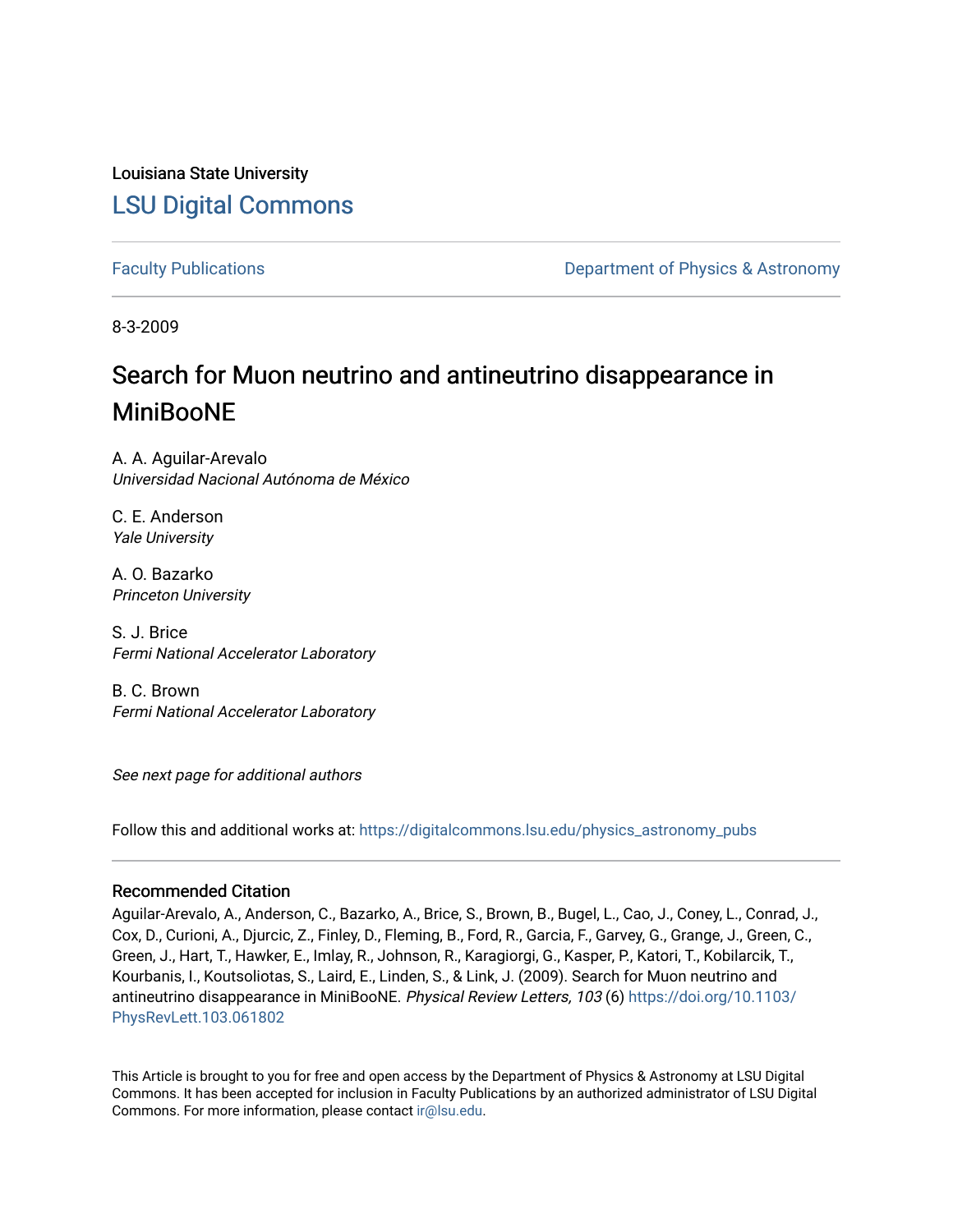Louisiana State University [LSU Digital Commons](https://digitalcommons.lsu.edu/)

[Faculty Publications](https://digitalcommons.lsu.edu/physics_astronomy_pubs) **Exercise 2 and Table 2 and Table 2 and Table 2 and Table 2 and Table 2 and Table 2 and Table 2 and Table 2 and Table 2 and Table 2 and Table 2 and Table 2 and Table 2 and Table 2 and Table 2 and Table** 

8-3-2009

# Search for Muon neutrino and antineutrino disappearance in MiniBooNE

A. A. Aguilar-Arevalo Universidad Nacional Autónoma de México

C. E. Anderson Yale University

A. O. Bazarko Princeton University

S. J. Brice Fermi National Accelerator Laboratory

B. C. Brown Fermi National Accelerator Laboratory

See next page for additional authors

Follow this and additional works at: [https://digitalcommons.lsu.edu/physics\\_astronomy\\_pubs](https://digitalcommons.lsu.edu/physics_astronomy_pubs?utm_source=digitalcommons.lsu.edu%2Fphysics_astronomy_pubs%2F3426&utm_medium=PDF&utm_campaign=PDFCoverPages) 

### Recommended Citation

Aguilar-Arevalo, A., Anderson, C., Bazarko, A., Brice, S., Brown, B., Bugel, L., Cao, J., Coney, L., Conrad, J., Cox, D., Curioni, A., Djurcic, Z., Finley, D., Fleming, B., Ford, R., Garcia, F., Garvey, G., Grange, J., Green, C., Green, J., Hart, T., Hawker, E., Imlay, R., Johnson, R., Karagiorgi, G., Kasper, P., Katori, T., Kobilarcik, T., Kourbanis, I., Koutsoliotas, S., Laird, E., Linden, S., & Link, J. (2009). Search for Muon neutrino and antineutrino disappearance in MiniBooNE. Physical Review Letters, 103 (6) [https://doi.org/10.1103/](https://doi.org/10.1103/PhysRevLett.103.061802) [PhysRevLett.103.061802](https://doi.org/10.1103/PhysRevLett.103.061802) 

This Article is brought to you for free and open access by the Department of Physics & Astronomy at LSU Digital Commons. It has been accepted for inclusion in Faculty Publications by an authorized administrator of LSU Digital Commons. For more information, please contact [ir@lsu.edu](mailto:ir@lsu.edu).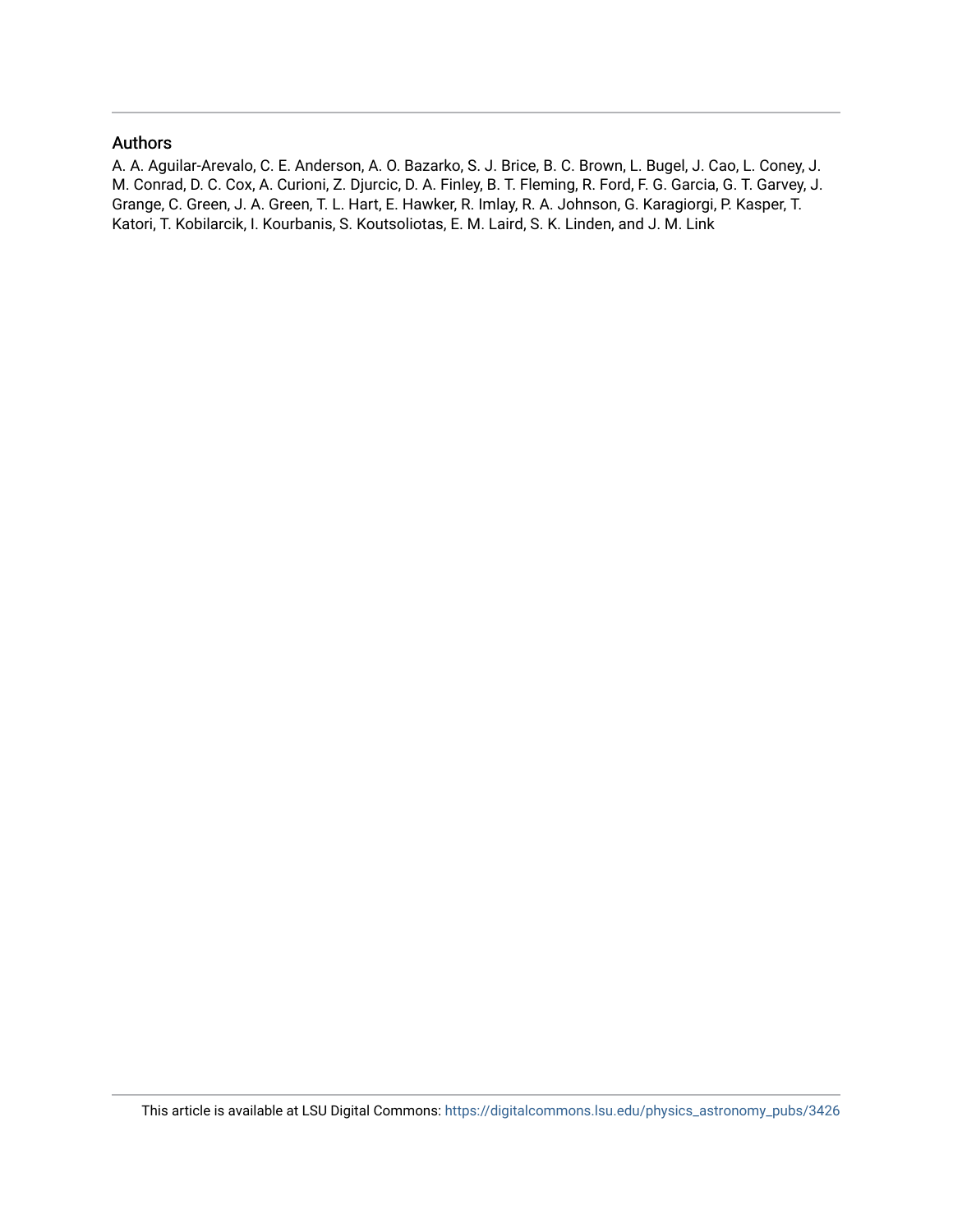### Authors

A. A. Aguilar-Arevalo, C. E. Anderson, A. O. Bazarko, S. J. Brice, B. C. Brown, L. Bugel, J. Cao, L. Coney, J. M. Conrad, D. C. Cox, A. Curioni, Z. Djurcic, D. A. Finley, B. T. Fleming, R. Ford, F. G. Garcia, G. T. Garvey, J. Grange, C. Green, J. A. Green, T. L. Hart, E. Hawker, R. Imlay, R. A. Johnson, G. Karagiorgi, P. Kasper, T. Katori, T. Kobilarcik, I. Kourbanis, S. Koutsoliotas, E. M. Laird, S. K. Linden, and J. M. Link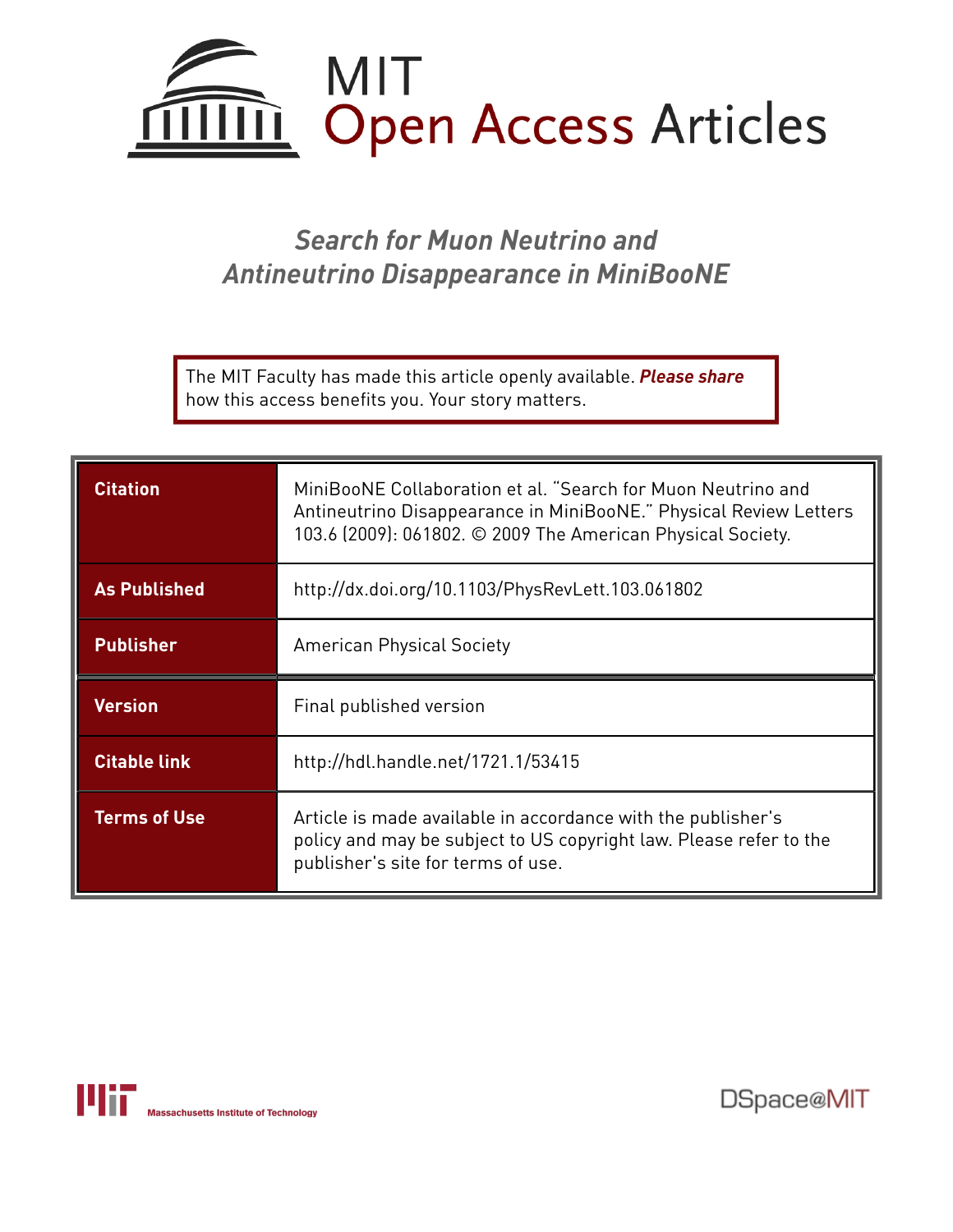

# *Search for Muon Neutrino and Antineutrino Disappearance in MiniBooNE*

The MIT Faculty has made this article openly available. *[Please](https://libraries.mit.edu/forms/dspace-oa-articles.html) share* how this access benefits you. Your story matters.

| <b>Citation</b>     | MiniBooNE Collaboration et al. "Search for Muon Neutrino and<br>Antineutrino Disappearance in MiniBooNE." Physical Review Letters<br>103.6 (2009): 061802. © 2009 The American Physical Society. |
|---------------------|--------------------------------------------------------------------------------------------------------------------------------------------------------------------------------------------------|
| <b>As Published</b> | http://dx.doi.org/10.1103/PhysRevLett.103.061802                                                                                                                                                 |
| <b>Publisher</b>    | <b>American Physical Society</b>                                                                                                                                                                 |
|                     |                                                                                                                                                                                                  |
| <b>Version</b>      | Final published version                                                                                                                                                                          |
| <b>Citable link</b> | http://hdl.handle.net/1721.1/53415                                                                                                                                                               |



DSpace@MIT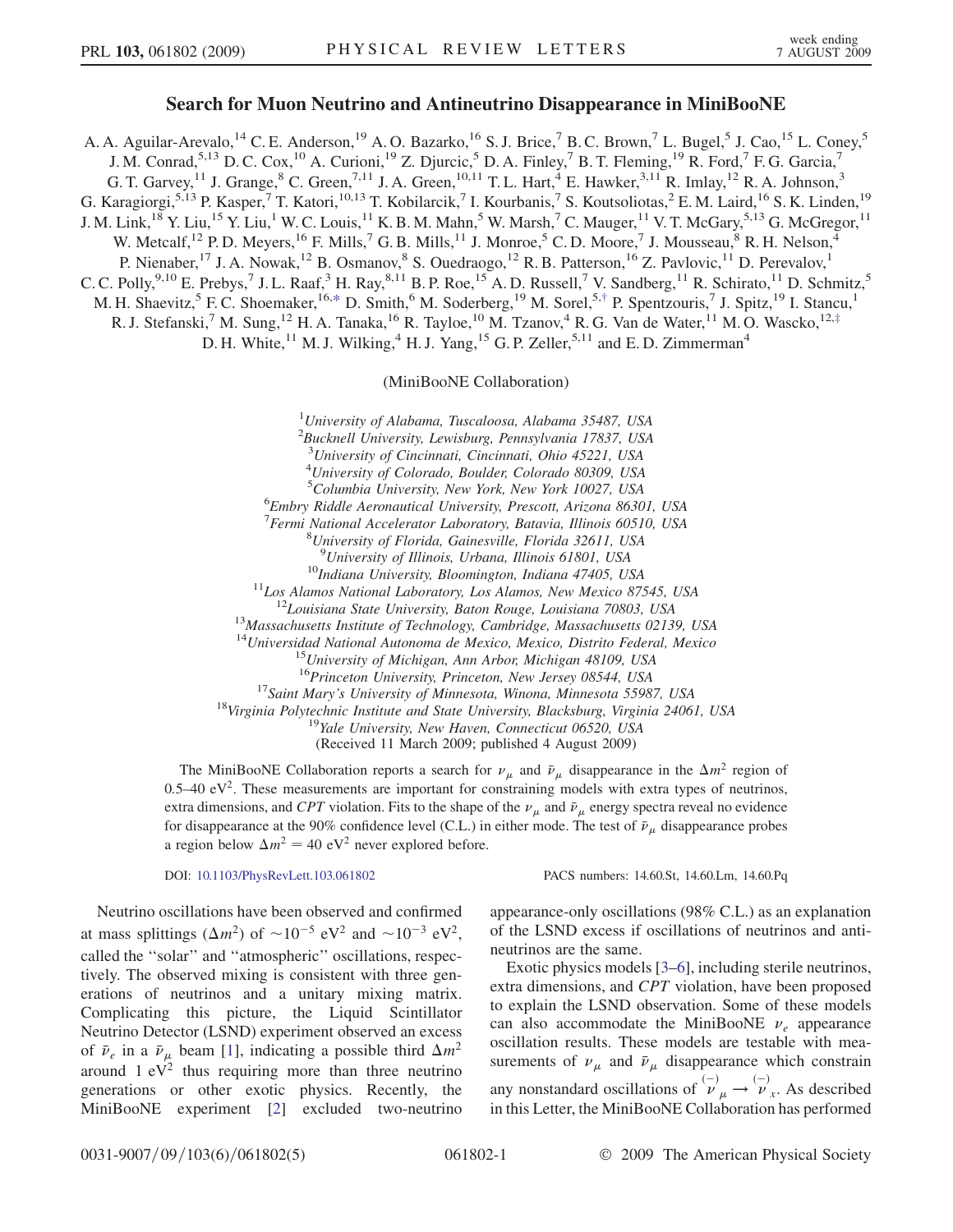### Search for Muon Neutrino and Antineutrino Disappearance in MiniBooNE

A. A. Aguilar-Arevalo,<sup>14</sup> C. E. Anderson,<sup>19</sup> A. O. Bazarko,<sup>16</sup> S. J. Brice,<sup>7</sup> B. C. Brown,<sup>7</sup> L. Bugel,<sup>5</sup> J. Cao,<sup>15</sup> L. Coney,<sup>5</sup> J. M. Conrad,<sup>5,13</sup> D. C. Cox,<sup>10</sup> A. Curioni,<sup>19</sup> Z. Djurcic,<sup>5</sup> D. A. Finley,<sup>7</sup> B. T. Fleming,<sup>19</sup> R. Ford,<sup>7</sup> F. G. Garcia,<sup>7</sup> G. T. Garvey,<sup>11</sup> J. Grange, <sup>8</sup> C. Green,<sup>7,11</sup> J. A. Green,<sup>10,11</sup> T. L. Hart, <sup>4</sup> E. Hawker,<sup>3,11</sup> R. Imlay, <sup>12</sup> R. A. Johnson,<sup>3</sup> G. Karagiorgi,<sup>5,13</sup> P. Kasper,<sup>7</sup> T. Katori,<sup>10,13</sup> T. Kobilarcik,<sup>7</sup> I. Kourbanis,<sup>7</sup> S. Koutsoliotas,<sup>2</sup> E.M. Laird,<sup>16</sup> S.K. Linden,<sup>19</sup> J. M. Link,<sup>18</sup> Y. Liu,<sup>15</sup> Y. Liu,<sup>1</sup> W. C. Louis,<sup>11</sup> K. B. M. Mahn,<sup>5</sup> W. Marsh,<sup>7</sup> C. Mauger,<sup>11</sup> V. T. McGary,<sup>5,13</sup> G. McGregor,<sup>11</sup> W. Metcalf,<sup>12</sup> P. D. Meyers,<sup>16</sup> F. Mills,<sup>7</sup> G. B. Mills,<sup>11</sup> J. Monroe,<sup>5</sup> C. D. Moore,<sup>7</sup> J. Mousseau,<sup>8</sup> R. H. Nelson,<sup>4</sup> P. Nienaber,<sup>17</sup> J. A. Nowak,<sup>12</sup> B. Osmanov,<sup>8</sup> S. Ouedraogo,<sup>12</sup> R. B. Patterson,<sup>16</sup> Z. Pavlovic,<sup>11</sup> D. Perevalov,<sup>1</sup> C. C. Polly,<sup>9,10</sup> E. Prebys,<sup>7</sup> J. L. Raaf,<sup>3</sup> H. Ray,<sup>8,11</sup> B. P. Roe,<sup>15</sup> A. D. Russell,<sup>7</sup> V. Sandberg,<sup>11</sup> R. Schirato,<sup>11</sup> D. Schmitz,<sup>5</sup> M. H. Shaevitz,<sup>5</sup> F. C. Shoemaker,<sup>16,[\\*](#page-7-0)</sup> D. Smith,<sup>6</sup> M. Soderberg,<sup>19</sup> M. Sorel,<sup>5,[†](#page-7-1)</sup> P. Spentzouris,<sup>7</sup> J. Spitz,<sup>19</sup> I. Stancu,<sup>1</sup> R. J. Stefanski,<sup>7</sup> M. Sung,<sup>12</sup> H. A. Tanaka,<sup>16</sup> R. Tayloe,<sup>10</sup> M. Tzanov,<sup>4</sup> R. G. Van de Water,<sup>11</sup> M. O. Wascko,<sup>12[,‡](#page-7-2)</sup>

<span id="page-3-1"></span><span id="page-3-0"></span>D. H. White,<sup>11</sup> M. J. Wilking,<sup>4</sup> H. J. Yang,<sup>15</sup> G. P. Zeller,<sup>5,11</sup> and E. D. Zimmerman<sup>4</sup>

(MiniBooNE Collaboration)

 $1$ University of Alabama, Tuscaloosa, Alabama 35487, USA

<sup>2</sup>Bucknell University, Lewisburg, Pennsylvania 17837, USA

<sup>3</sup>University of Cincinnati, Cincinnati, Ohio 45221, USA

4 University of Colorado, Boulder, Colorado 80309, USA

<sup>5</sup>Columbia University, New York, New York 10027, USA<br><sup>6</sup>Embry Piddle Agronautical University, Prescott Arizona 8630

Embry Riddle Aeronautical University, Prescott, Arizona 86301, USA

<sup>7</sup> Fermi National Accelerator Laboratory, Batavia, Illinois 60510, USA<br><sup>8</sup> University of Florida, Gainesville, Florida 32611, USA

University of Florida, Gainesville, Florida 32611, USA

<sup>9</sup>University of Illinois, Urbana, Illinois 61801, USA

<sup>10</sup>Indiana University, Bloomington, Indiana 47405, USA<br><sup>11</sup>Los Alamos National Laboratory, Los Alamos, New Mexico 87545, USA<br><sup>12</sup>Louisiana State University, Baton Rouge, Louisiana 70803, USA<br><sup>13</sup>Massachusetts Institute o

<sup>14</sup>Universidad National Autonoma de Mexico, Mexico, Distrito Federal, Mexico<br><sup>15</sup>University of Michigan, Ann Arbor, Michigan 48109, USA<br><sup>16</sup>Princeton University, Princeton, New Jersey 08544, USA

<sup>17</sup>Saint Mary's University of Minnesota, Winona, Minnesota 55987, USA<br><sup>18</sup>Virginia Polytechnic Institute and State University, Blacksburg, Virginia 24061, USA<br><sup>19</sup>Yale University, New Haven, Connecticut 06520, USA

(Received 11 March 2009; published 4 August 2009)

The MiniBooNE Collaboration reports a search for  $\nu_{\mu}$  and  $\bar{\nu}_{\mu}$  disappearance in the  $\Delta m^2$  region of  $0.5-40$  eV<sup>2</sup>. These measurements are important for constraining models with extra types of neutrinos, extra dimensions, and CPT violation. Fits to the shape of the  $\nu_\mu$  and  $\bar{\nu}_\mu$  energy spectra reveal no evidence for disappearance at the 90% confidence level (C.L.) in either mode. The test of  $\bar{\nu}_{\mu}$  disappearance probes a region below  $\Delta m^2 = 40 \text{ eV}^2$  never explored before.

DOI: [10.1103/PhysRevLett.103.061802](http://dx.doi.org/10.1103/PhysRevLett.103.061802) PACS numbers: 14.60.St, 14.60.Lm, 14.60.Pq

Neutrino oscillations have been observed and confirmed at mass splittings  $(\Delta m^2)$  of  $\sim 10^{-5}$  eV<sup>2</sup> and  $\sim 10^{-3}$  eV<sup>2</sup>, called the ''solar'' and ''atmospheric'' oscillations, respectively. The observed mixing is consistent with three generations of neutrinos and a unitary mixing matrix. Complicating this picture, the Liquid Scintillator Neutrino Detector (LSND) experiment observed an excess of  $\bar{\nu}_e$  in a  $\bar{\nu}_\mu$  beam [\[1\]](#page-7-3), indicating a possible third  $\Delta m^2$ around  $1 \text{ eV}^2$  thus requiring more than three neutrino generations or other exotic physics. Recently, the MiniBooNE experiment [\[2\]](#page-7-4) excluded two-neutrino

appearance-only oscillations (98% C.L.) as an explanation of the LSND excess if oscillations of neutrinos and antineutrinos are the same.

Exotic physics models [[3](#page-7-5)[–6](#page-7-6)], including sterile neutrinos, extra dimensions, and CPT violation, have been proposed to explain the LSND observation. Some of these models can also accommodate the MiniBooNE  $\nu_e$  appearance oscillation results. These models are testable with measurements of  $\nu_{\mu}$  and  $\bar{\nu}_{\mu}$  disappearance which constrain any nonstandard oscillations of  $\psi_{\mu}^{(-)} \rightarrow \psi_{\nu}^{(-)}$ . As described in this Letter, the MiniBooNE Collaboration has performed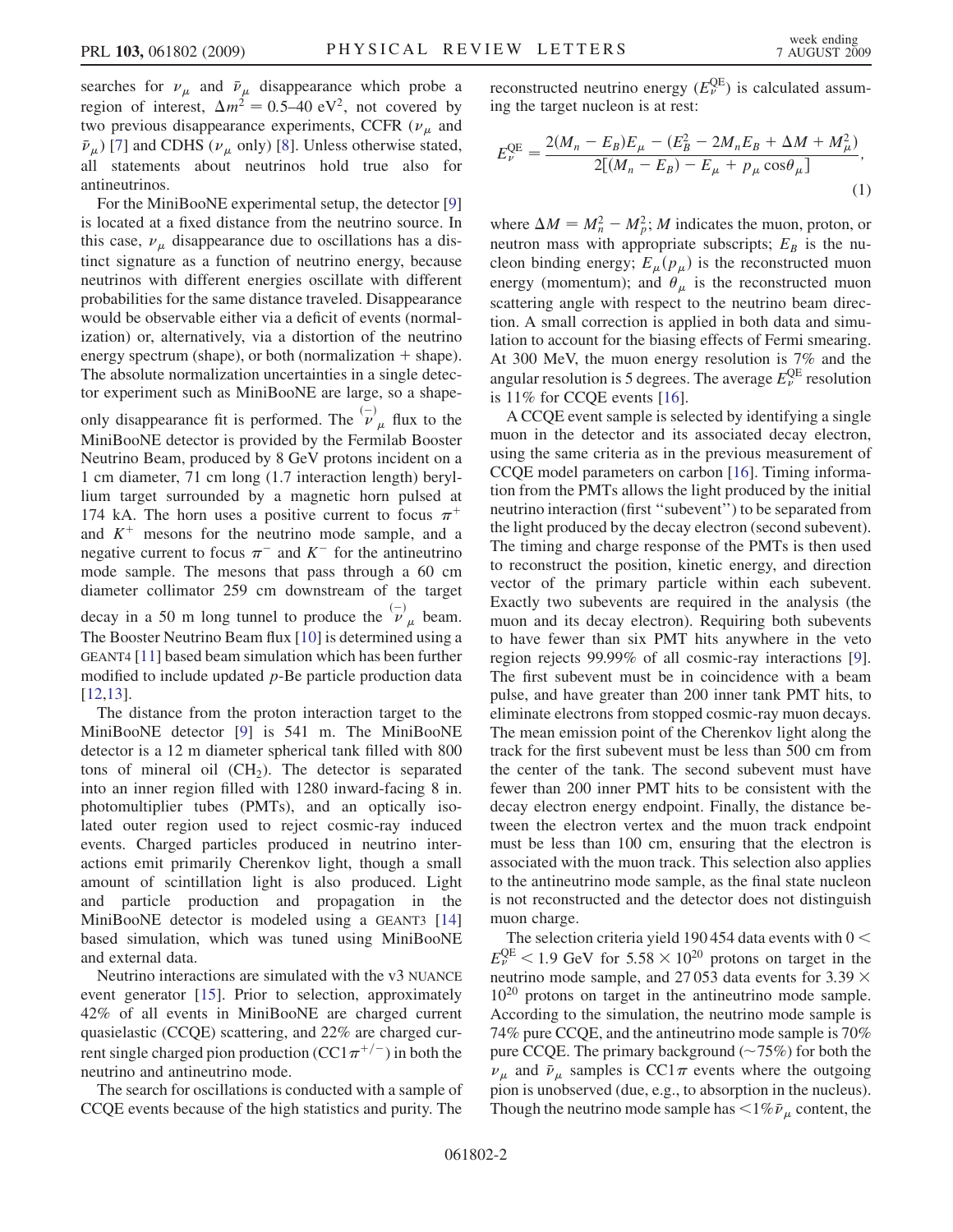searches for  $v_{\mu}$  and  $\bar{v}_{\mu}$  disappearance which probe a region of interest,  $\Delta m^2 = 0.5{\text -}40 \text{ eV}^2$ , not covered by two previous disappearance experiments, CCFR  $(\nu_{\mu}$  and  $\bar{\nu}_{\mu}$ ) [[7](#page-7-7)] and CDHS ( $\nu_{\mu}$  only) [[8](#page-7-8)]. Unless otherwise stated, all statements about neutrinos hold true also for antineutrinos.

For the MiniBooNE experimental setup, the detector [\[9\]](#page-7-9) is located at a fixed distance from the neutrino source. In this case,  $\nu_{\mu}$  disappearance due to oscillations has a distinct signature as a function of neutrino energy, because neutrinos with different energies oscillate with different probabilities for the same distance traveled. Disappearance would be observable either via a deficit of events (normalization) or, alternatively, via a distortion of the neutrino energy spectrum (shape), or both (normalization  $+$  shape). The absolute normalization uncertainties in a single detector experiment such as MiniBooNE are large, so a shapeonly disappearance fit is performed. The  $\overline{\mathcal{V}}_{\mu}$  flux to the

MiniBooNE detector is provided by the Fermilab Booster Neutrino Beam, produced by 8 GeV protons incident on a 1 cm diameter, 71 cm long (1.7 interaction length) beryllium target surrounded by a magnetic horn pulsed at 174 kA. The horn uses a positive current to focus  $\pi^+$ and  $K^+$  mesons for the neutrino mode sample, and a negative current to focus  $\pi^-$  and  $K^-$  for the antineutrino mode sample. The mesons that pass through a 60 cm diameter collimator 259 cm downstream of the target decay in a 50 m long tunnel to produce the  $\bar{v}_\mu^{\scriptscriptstyle(-)}$  beam. The Booster Neutrino Beam flux [\[10](#page-7-10)] is determined using a GEANT4 [[11](#page-7-11)] based beam simulation which has been further modified to include updated  $p$ -Be particle production data [\[12](#page-7-12)[,13\]](#page-7-13).

The distance from the proton interaction target to the MiniBooNE detector [\[9](#page-7-9)] is 541 m. The MiniBooNE detector is a 12 m diameter spherical tank filled with 800 tons of mineral oil  $(CH<sub>2</sub>)$ . The detector is separated into an inner region filled with 1280 inward-facing 8 in. photomultiplier tubes (PMTs), and an optically isolated outer region used to reject cosmic-ray induced events. Charged particles produced in neutrino interactions emit primarily Cherenkov light, though a small amount of scintillation light is also produced. Light and particle production and propagation in the MiniBooNE detector is modeled using a GEANT3 [\[14\]](#page-7-14) based simulation, which was tuned using MiniBooNE and external data.

Neutrino interactions are simulated with the v3 NUANCE event generator [[15](#page-7-15)]. Prior to selection, approximately 42% of all events in MiniBooNE are charged current quasielastic (CCQE) scattering, and 22% are charged current single charged pion production (CC1 $\pi^{+/-}$ ) in both the neutrino and antineutrino mode.

The search for oscillations is conducted with a sample of CCQE events because of the high statistics and purity. The

reconstructed neutrino energy  $(E_{\nu}^{\text{QE}})$  is calculated assuming the target nucleon is at rest:

$$
E_{\nu}^{\text{QE}} = \frac{2(M_n - E_B)E_{\mu} - (E_B^2 - 2M_nE_B + \Delta M + M_{\mu}^2)}{2[(M_n - E_B) - E_{\mu} + p_{\mu}\cos\theta_{\mu}]}.
$$
\n(1)

where  $\Delta M = M_n^2 - M_p^2$ ; *M* indicates the muon, proton, or neutron mass with appropriate subscripts;  $E_B$  is the nucleon binding energy;  $E_{\mu}(p_{\mu})$  is the reconstructed muon energy (momentum); and  $\dot{\theta}_\mu$  is the reconstructed muon scattering angle with respect to the neutrino beam direction. A small correction is applied in both data and simulation to account for the biasing effects of Fermi smearing. At 300 MeV, the muon energy resolution is 7% and the angular resolution is 5 degrees. The average  $E_{\nu}^{\rm QE}$  resolution is 11% for CCQE events [\[16\]](#page-7-16).

A CCQE event sample is selected by identifying a single muon in the detector and its associated decay electron, using the same criteria as in the previous measurement of CCQE model parameters on carbon [[16](#page-7-16)]. Timing information from the PMTs allows the light produced by the initial neutrino interaction (first ''subevent'') to be separated from the light produced by the decay electron (second subevent). The timing and charge response of the PMTs is then used to reconstruct the position, kinetic energy, and direction vector of the primary particle within each subevent. Exactly two subevents are required in the analysis (the muon and its decay electron). Requiring both subevents to have fewer than six PMT hits anywhere in the veto region rejects 99.99% of all cosmic-ray interactions [[9\]](#page-7-9). The first subevent must be in coincidence with a beam pulse, and have greater than 200 inner tank PMT hits, to eliminate electrons from stopped cosmic-ray muon decays. The mean emission point of the Cherenkov light along the track for the first subevent must be less than 500 cm from the center of the tank. The second subevent must have fewer than 200 inner PMT hits to be consistent with the decay electron energy endpoint. Finally, the distance between the electron vertex and the muon track endpoint must be less than 100 cm, ensuring that the electron is associated with the muon track. This selection also applies to the antineutrino mode sample, as the final state nucleon is not reconstructed and the detector does not distinguish muon charge.

The selection criteria yield 190 454 data events with  $0 <$  $E_{\nu}^{\text{QE}}$  < 1.9 GeV for 5.58  $\times$  10<sup>20</sup> protons on target in the neutrino mode sample, and 27 053 data events for 3.39  $\times$ 1020 protons on target in the antineutrino mode sample. According to the simulation, the neutrino mode sample is 74% pure CCQE, and the antineutrino mode sample is 70% pure CCQE. The primary background  $(\sim 75\%)$  for both the  $\nu_{\mu}$  and  $\bar{\nu}_{\mu}$  samples is CC1 $\pi$  events where the outgoing pion is unobserved (due, e.g., to absorption in the nucleus). Though the neutrino mode sample has  $\lt 1\% \bar{\nu}_u$  content, the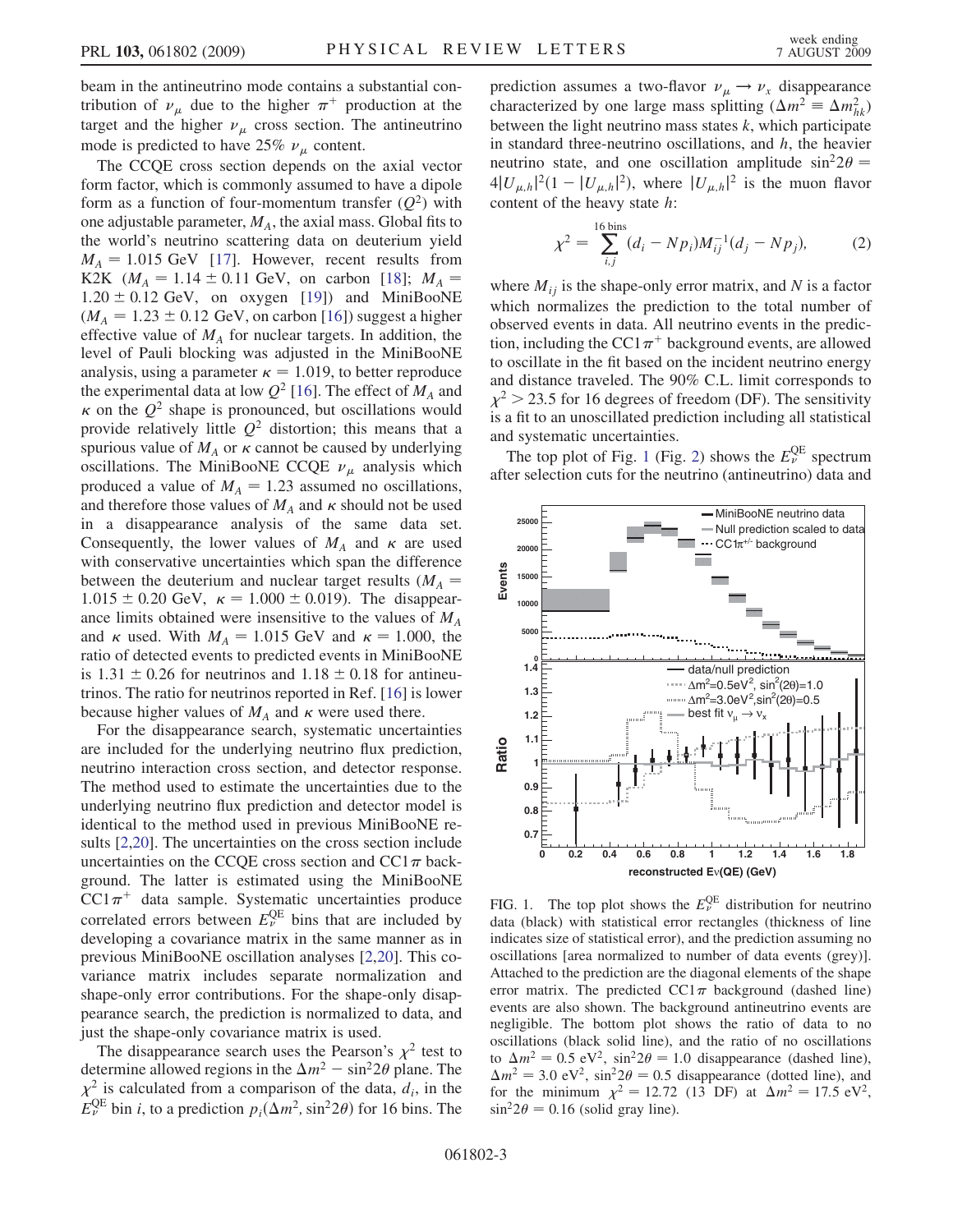beam in the antineutrino mode contains a substantial contribution of  $\nu_{\mu}$  due to the higher  $\pi^{+}$  production at the target and the higher  $\nu_{\mu}$  cross section. The antineutrino mode is predicted to have 25%  $\nu_{\mu}$  content.

The CCQE cross section depends on the axial vector form factor, which is commonly assumed to have a dipole form as a function of four-momentum transfer  $(Q^2)$  with one adjustable parameter,  $M_A$ , the axial mass. Global fits to the world's neutrino scattering data on deuterium yield  $M_A = 1.015$  GeV [\[17\]](#page-7-17). However, recent results from K2K ( $M_A = 1.14 \pm 0.11$  GeV, on carbon [[18](#page-7-18)];  $M_A =$  $1.20 \pm 0.12$  GeV, on oxygen [[19](#page-7-19)]) and MiniBooNE  $(M_A = 1.23 \pm 0.12$  GeV, on carbon [[16](#page-7-16)]) suggest a higher effective value of  $M_A$  for nuclear targets. In addition, the level of Pauli blocking was adjusted in the MiniBooNE analysis, using a parameter  $\kappa = 1.019$ , to better reproduce the experimental data at low  $Q^2$  [\[16\]](#page-7-16). The effect of  $M_A$  and  $\kappa$  on the  $Q^2$  shape is pronounced, but oscillations would provide relatively little  $Q^2$  distortion; this means that a spurious value of  $M_A$  or  $\kappa$  cannot be caused by underlying oscillations. The MiniBooNE CCQE  $\nu_{\mu}$  analysis which produced a value of  $M_A = 1.23$  assumed no oscillations, and therefore those values of  $M_A$  and  $\kappa$  should not be used in a disappearance analysis of the same data set. Consequently, the lower values of  $M_A$  and  $\kappa$  are used with conservative uncertainties which span the difference between the deuterium and nuclear target results ( $M_A$  =  $1.015 \pm 0.20$  GeV,  $\kappa = 1.000 \pm 0.019$ ). The disappearance limits obtained were insensitive to the values of  $M_A$ and  $\kappa$  used. With  $M_A = 1.015$  GeV and  $\kappa = 1.000$ , the ratio of detected events to predicted events in MiniBooNE is 1.31  $\pm$  0.26 for neutrinos and 1.18  $\pm$  0.18 for antineutrinos. The ratio for neutrinos reported in Ref. [[16](#page-7-16)] is lower because higher values of  $M_A$  and  $\kappa$  were used there.

For the disappearance search, systematic uncertainties are included for the underlying neutrino flux prediction, neutrino interaction cross section, and detector response. The method used to estimate the uncertainties due to the underlying neutrino flux prediction and detector model is identical to the method used in previous MiniBooNE results [\[2,](#page-7-4)[20\]](#page-7-20). The uncertainties on the cross section include uncertainties on the CCOE cross section and  $CC1\pi$  background. The latter is estimated using the MiniBooNE  $CC1\pi^+$  data sample. Systematic uncertainties produce correlated errors between  $E_{\nu}^{\text{QE}}$  bins that are included by developing a covariance matrix in the same manner as in previous MiniBooNE oscillation analyses [\[2](#page-7-4)[,20\]](#page-7-20). This covariance matrix includes separate normalization and shape-only error contributions. For the shape-only disappearance search, the prediction is normalized to data, and just the shape-only covariance matrix is used.

The disappearance search uses the Pearson's  $\chi^2$  test to determine allowed regions in the  $\Delta m^2 - \sin^2 2\theta$  plane. The  $\chi^2$  is calculated from a comparison of the data,  $d_i$ , in the  $E_{\nu}^{\text{QE}}$  bin *i*, to a prediction  $p_i(\Delta m^2, \sin^2 2\theta)$  for 16 bins. The

prediction assumes a two-flavor  $\nu_{\mu} \rightarrow \nu_{x}$  disappearance characterized by one large mass splitting ( $\Delta m^2 \equiv \Delta m_{hk}^2$ ) between the light neutrino mass states  $k$ , which participate in standard three-neutrino oscillations, and  $h$ , the heavier neutrino state, and one oscillation amplitude  $\sin^2 2\theta =$  $4|U_{\mu,h}|^2(1-|U_{\mu,h}|^2)$ , where  $|U_{\mu,h}|^2$  is the muon flavor content of the heavy state h:

$$
\chi^2 = \sum_{i,j}^{16 \text{ bins}} (d_i - N p_i) M_{ij}^{-1} (d_j - N p_j), \tag{2}
$$

where  $M_{ij}$  is the shape-only error matrix, and N is a factor which normalizes the prediction to the total number of observed events in data. All neutrino events in the prediction, including the CC1 $\pi$ <sup>+</sup> background events, are allowed to oscillate in the fit based on the incident neutrino energy and distance traveled. The 90% C.L. limit corresponds to  $\chi^2$  > 23.5 for 16 degrees of freedom (DF). The sensitivity is a fit to an unoscillated prediction including all statistical and systematic uncertainties.

The top plot of Fig. [1](#page-5-0) (Fig. [2\)](#page-6-0) shows the  $E_{\nu}^{\text{QE}}$  spectrum after selection cuts for the neutrino (antineutrino) data and

<span id="page-5-0"></span>

FIG. 1. The top plot shows the  $E_{\nu}^{\text{QE}}$  distribution for neutrino data (black) with statistical error rectangles (thickness of line indicates size of statistical error), and the prediction assuming no oscillations [area normalized to number of data events (grey)]. Attached to the prediction are the diagonal elements of the shape error matrix. The predicted  $CC1\pi$  background (dashed line) events are also shown. The background antineutrino events are negligible. The bottom plot shows the ratio of data to no oscillations (black solid line), and the ratio of no oscillations to  $\Delta m^2 = 0.5 \text{ eV}^2$ ,  $\sin^2 2\theta = 1.0$  disappearance (dashed line),  $\Delta m^2 = 3.0 \text{ eV}^2$ ,  $\sin^2 2\theta = 0.5$  disappearance (dotted line), and for the minimum  $\chi^2 = 12.72$  (13 DF) at  $\Delta m^2 = 17.5 \text{ eV}^2$ ,  $\sin^2 2\theta = 0.16$  (solid gray line).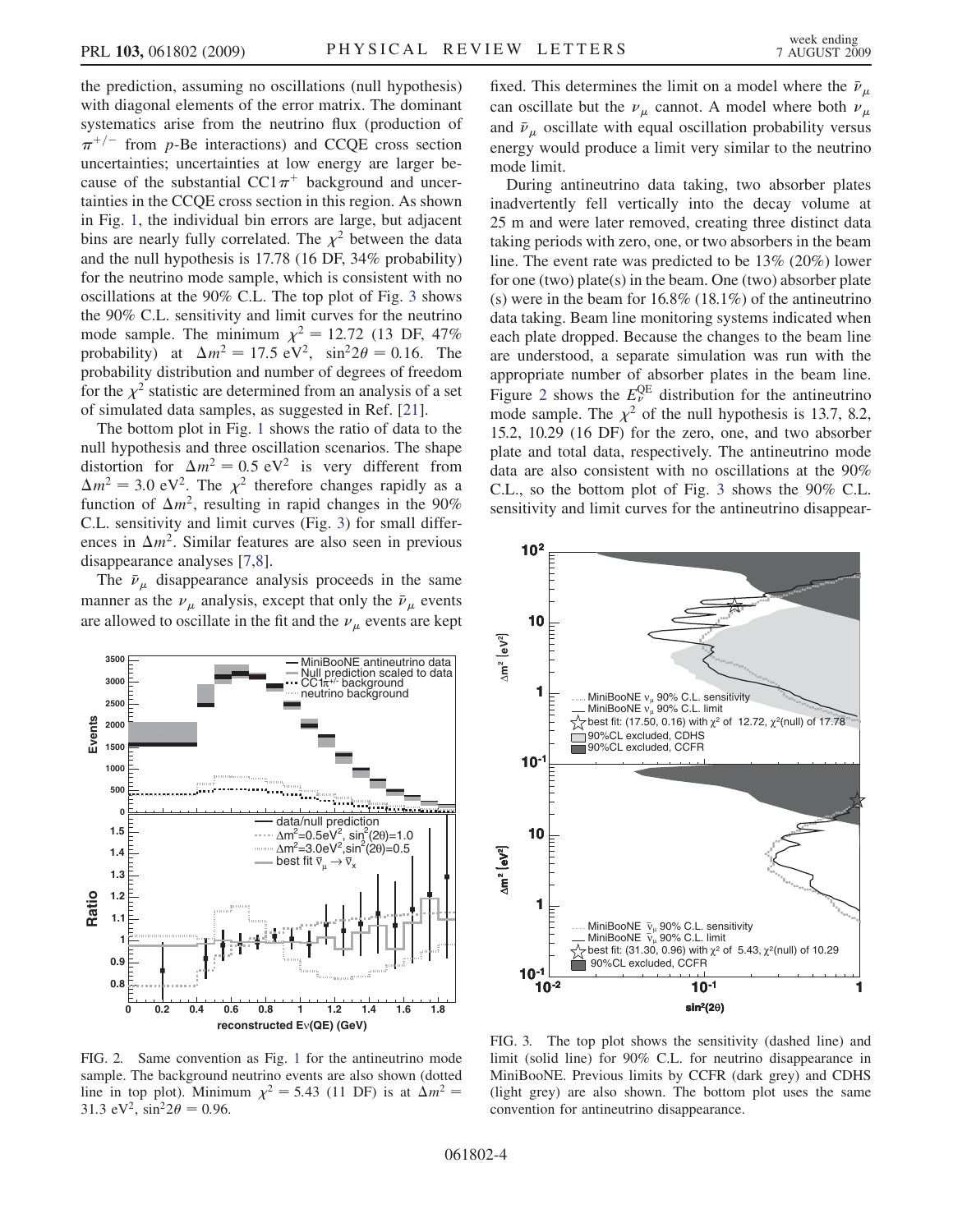the prediction, assuming no oscillations (null hypothesis) with diagonal elements of the error matrix. The dominant systematics arise from the neutrino flux (production of  $\pi^{+/-}$  from p-Be interactions) and CCQE cross section uncertainties; uncertainties at low energy are larger because of the substantial  $CC1\pi^+$  background and uncertainties in the CCQE cross section in this region. As shown in Fig. [1,](#page-5-0) the individual bin errors are large, but adjacent bins are nearly fully correlated. The  $\chi^2$  between the data and the null hypothesis is 17.78 (16 DF, 34% probability) for the neutrino mode sample, which is consistent with no oscillations at the 90% C.L. The top plot of Fig. [3](#page-6-1) shows the 90% C.L. sensitivity and limit curves for the neutrino mode sample. The minimum  $\chi^2 = 12.72$  (13 DF, 47%) probability) at  $\Delta m^2 = 17.5 \text{ eV}^2$ ,  $\sin^2 2\theta = 0.16$ . The probability distribution and number of degrees of freedom for the  $\chi^2$  statistic are determined from an analysis of a set of simulated data samples, as suggested in Ref. [[21](#page-7-21)].

The bottom plot in Fig. [1](#page-5-0) shows the ratio of data to the null hypothesis and three oscillation scenarios. The shape distortion for  $\Delta m^2 = 0.5 \text{ eV}^2$  is very different from  $\Delta m^2 = 3.0 \text{ eV}^2$ . The  $\chi^2$  therefore changes rapidly as a function of  $\Delta m^2$ , resulting in rapid changes in the 90% C.L. sensitivity and limit curves (Fig. [3\)](#page-6-1) for small differences in  $\Delta m^2$ . Similar features are also seen in previous disappearance analyses [\[7,](#page-7-7)[8\]](#page-7-8).

The  $\bar{\nu}_{\mu}$  disappearance analysis proceeds in the same manner as the  $\nu_{\mu}$  analysis, except that only the  $\bar{\nu}_{\mu}$  events are allowed to oscillate in the fit and the  $\nu_{\mu}$  events are kept

<span id="page-6-0"></span>

FIG. 2. Same convention as Fig. [1](#page-5-0) for the antineutrino mode sample. The background neutrino events are also shown (dotted line in top plot). Minimum  $\chi^2 = 5.43$  (11 DF) is at  $\Delta m^2 =$ 31.3 eV<sup>2</sup>,  $\sin^2 2\theta = 0.96$ .

fixed. This determines the limit on a model where the  $\bar{\nu}_{\mu}$ can oscillate but the  $\nu_{\mu}$  cannot. A model where both  $\nu_{\mu}$ and  $\bar{v}_\mu$  oscillate with equal oscillation probability versus energy would produce a limit very similar to the neutrino mode limit.

During antineutrino data taking, two absorber plates inadvertently fell vertically into the decay volume at 25 m and were later removed, creating three distinct data taking periods with zero, one, or two absorbers in the beam line. The event rate was predicted to be 13% (20%) lower for one (two) plate(s) in the beam. One (two) absorber plate (s) were in the beam for  $16.8\%$  (18.1%) of the antineutrino data taking. Beam line monitoring systems indicated when each plate dropped. Because the changes to the beam line are understood, a separate simulation was run with the appropriate number of absorber plates in the beam line. Figure [2](#page-6-0) shows the  $E_{\nu}^{\text{QE}}$  distribution for the antineutrino mode sample. The  $\chi^2$  of the null hypothesis is 13.7, 8.2, 15.2, 10.29 (16 DF) for the zero, one, and two absorber plate and total data, respectively. The antineutrino mode data are also consistent with no oscillations at the 90% C.L., so the bottom plot of Fig. [3](#page-6-1) shows the 90% C.L. sensitivity and limit curves for the antineutrino disappear-

<span id="page-6-1"></span>

FIG. 3. The top plot shows the sensitivity (dashed line) and limit (solid line) for 90% C.L. for neutrino disappearance in MiniBooNE. Previous limits by CCFR (dark grey) and CDHS (light grey) are also shown. The bottom plot uses the same convention for antineutrino disappearance.